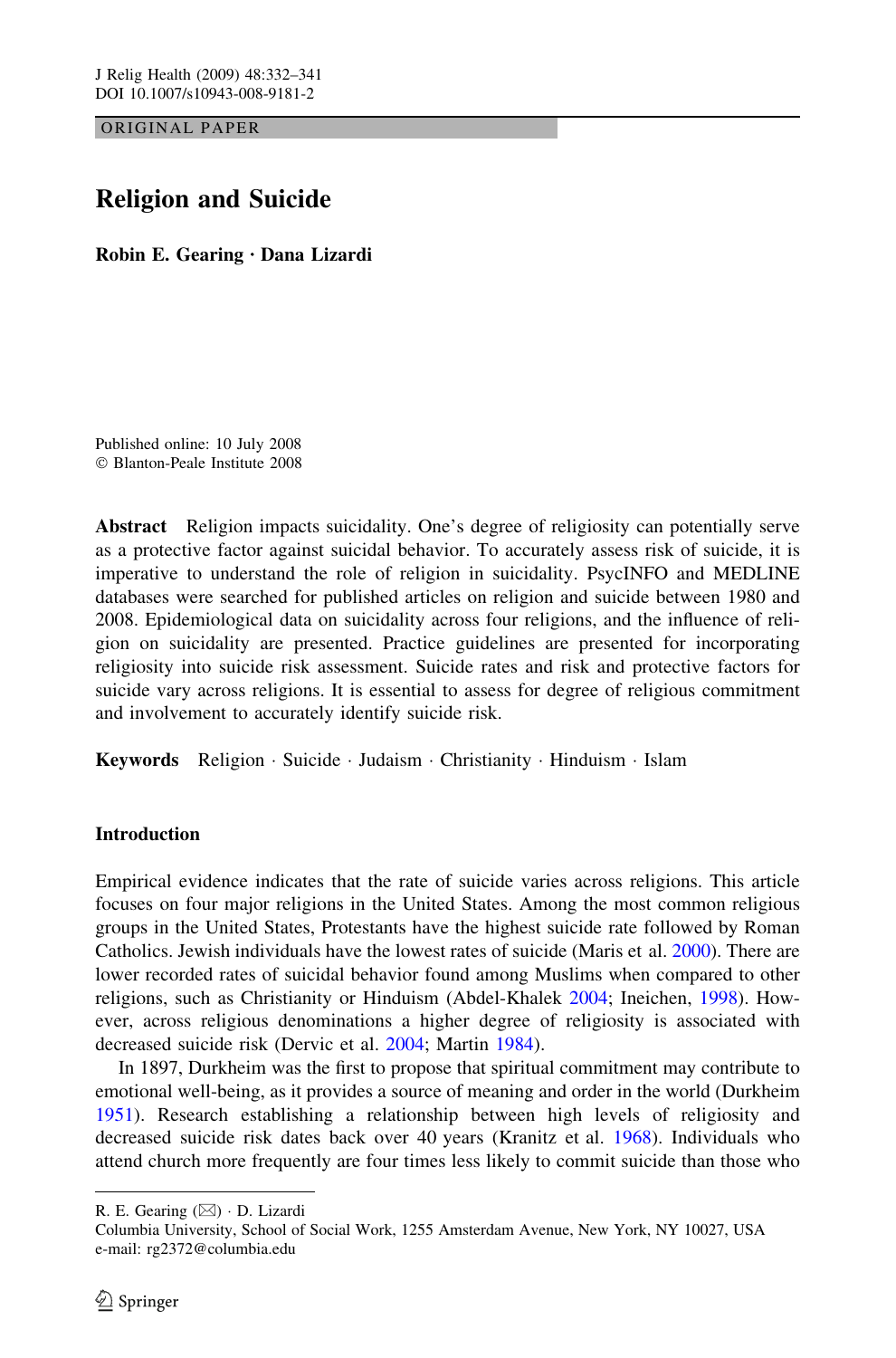ORIGINAL PAPER

# Religion and Suicide

Robin E. Gearing · Dana Lizardi

Published online: 10 July 2008 Blanton-Peale Institute 2008

Abstract Religion impacts suicidality. One's degree of religiosity can potentially serve as a protective factor against suicidal behavior. To accurately assess risk of suicide, it is imperative to understand the role of religion in suicidality. PsycINFO and MEDLINE databases were searched for published articles on religion and suicide between 1980 and 2008. Epidemiological data on suicidality across four religions, and the influence of religion on suicidality are presented. Practice guidelines are presented for incorporating religiosity into suicide risk assessment. Suicide rates and risk and protective factors for suicide vary across religions. It is essential to assess for degree of religious commitment and involvement to accurately identify suicide risk.

Keywords Religion Suicide Judaism Christianity Hinduism Islam

# Introduction

Empirical evidence indicates that the rate of suicide varies across religions. This article focuses on four major religions in the United States. Among the most common religious groups in the United States, Protestants have the highest suicide rate followed by Roman Catholics. Jewish individuals have the lowest rates of suicide (Maris et al. [2000\)](#page-8-0). There are lower recorded rates of suicidal behavior found among Muslims when compared to other religions, such as Christianity or Hinduism (Abdel-Khalek [2004](#page-6-0); Ineichen, [1998](#page-7-0)). However, across religious denominations a higher degree of religiosity is associated with decreased suicide risk (Dervic et al. [2004](#page-7-0); Martin [1984\)](#page-8-0).

In 1897, Durkheim was the first to propose that spiritual commitment may contribute to emotional well-being, as it provides a source of meaning and order in the world (Durkheim [1951\)](#page-7-0). Research establishing a relationship between high levels of religiosity and decreased suicide risk dates back over 40 years (Kranitz et al. [1968\)](#page-8-0). Individuals who attend church more frequently are four times less likely to commit suicide than those who

R. E. Gearing  $(\boxtimes) \cdot$  D. Lizardi

Columbia University, School of Social Work, 1255 Amsterdam Avenue, New York, NY 10027, USA e-mail: rg2372@columbia.edu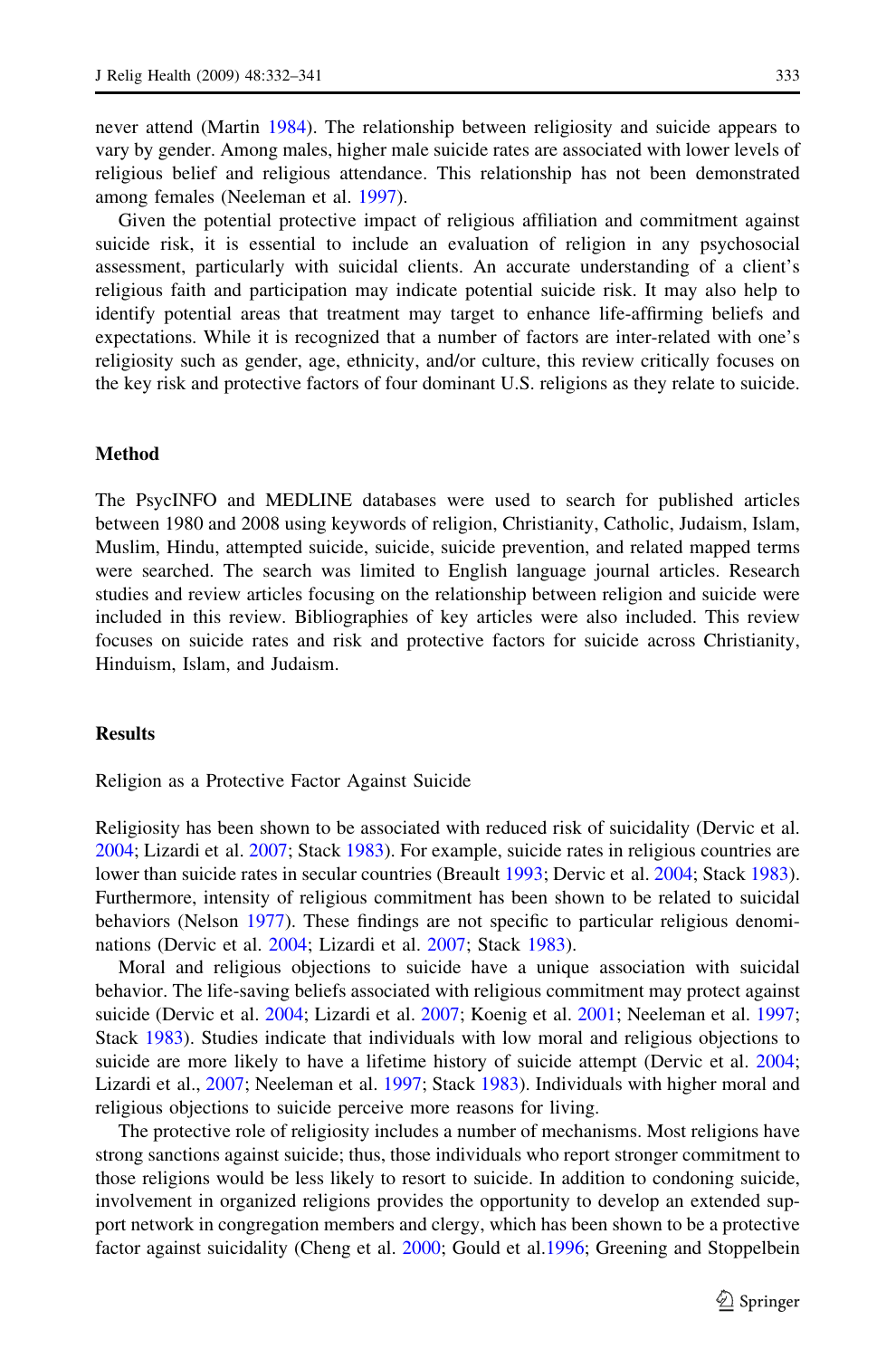never attend (Martin [1984](#page-8-0)). The relationship between religiosity and suicide appears to vary by gender. Among males, higher male suicide rates are associated with lower levels of religious belief and religious attendance. This relationship has not been demonstrated among females (Neeleman et al. [1997\)](#page-8-0).

Given the potential protective impact of religious affiliation and commitment against suicide risk, it is essential to include an evaluation of religion in any psychosocial assessment, particularly with suicidal clients. An accurate understanding of a client's religious faith and participation may indicate potential suicide risk. It may also help to identify potential areas that treatment may target to enhance life-affirming beliefs and expectations. While it is recognized that a number of factors are inter-related with one's religiosity such as gender, age, ethnicity, and/or culture, this review critically focuses on the key risk and protective factors of four dominant U.S. religions as they relate to suicide.

#### Method

The PsycINFO and MEDLINE databases were used to search for published articles between 1980 and 2008 using keywords of religion, Christianity, Catholic, Judaism, Islam, Muslim, Hindu, attempted suicide, suicide, suicide prevention, and related mapped terms were searched. The search was limited to English language journal articles. Research studies and review articles focusing on the relationship between religion and suicide were included in this review. Bibliographies of key articles were also included. This review focuses on suicide rates and risk and protective factors for suicide across Christianity, Hinduism, Islam, and Judaism.

#### **Results**

Religion as a Protective Factor Against Suicide

Religiosity has been shown to be associated with reduced risk of suicidality (Dervic et al. [2004;](#page-7-0) Lizardi et al. [2007](#page-8-0); Stack [1983\)](#page-9-0). For example, suicide rates in religious countries are lower than suicide rates in secular countries (Breault [1993;](#page-7-0) Dervic et al. [2004;](#page-7-0) Stack [1983](#page-9-0)). Furthermore, intensity of religious commitment has been shown to be related to suicidal behaviors (Nelson [1977\)](#page-8-0). These findings are not specific to particular religious denominations (Dervic et al. [2004;](#page-7-0) Lizardi et al. [2007;](#page-8-0) Stack [1983\)](#page-9-0).

Moral and religious objections to suicide have a unique association with suicidal behavior. The life-saving beliefs associated with religious commitment may protect against suicide (Dervic et al. [2004;](#page-7-0) Lizardi et al. [2007;](#page-8-0) Koenig et al. [2001](#page-7-0); Neeleman et al. [1997;](#page-8-0) Stack [1983](#page-9-0)). Studies indicate that individuals with low moral and religious objections to suicide are more likely to have a lifetime history of suicide attempt (Dervic et al. [2004;](#page-7-0) Lizardi et al., [2007;](#page-8-0) Neeleman et al. [1997;](#page-8-0) Stack [1983\)](#page-9-0). Individuals with higher moral and religious objections to suicide perceive more reasons for living.

The protective role of religiosity includes a number of mechanisms. Most religions have strong sanctions against suicide; thus, those individuals who report stronger commitment to those religions would be less likely to resort to suicide. In addition to condoning suicide, involvement in organized religions provides the opportunity to develop an extended support network in congregation members and clergy, which has been shown to be a protective factor against suicidality (Cheng et al. [2000](#page-7-0); Gould et al.[1996;](#page-7-0) Greening and Stoppelbein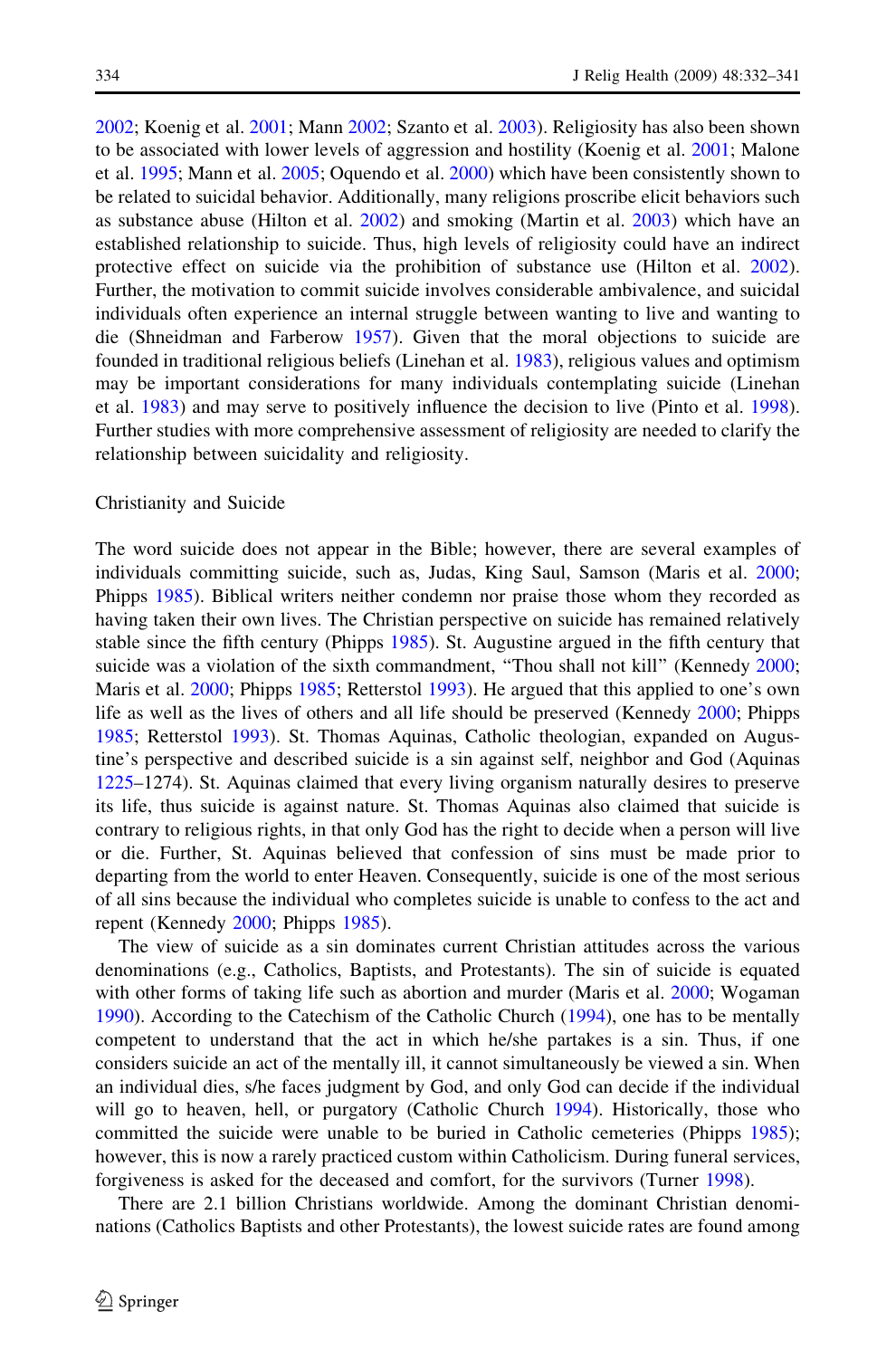[2002;](#page-7-0) Koenig et al. [2001](#page-7-0); Mann [2002;](#page-8-0) Szanto et al. [2003](#page-9-0)). Religiosity has also been shown to be associated with lower levels of aggression and hostility (Koenig et al. [2001](#page-7-0); Malone et al. [1995](#page-8-0); Mann et al. [2005](#page-8-0); Oquendo et al. [2000](#page-8-0)) which have been consistently shown to be related to suicidal behavior. Additionally, many religions proscribe elicit behaviors such as substance abuse (Hilton et al. [2002\)](#page-7-0) and smoking (Martin et al. [2003](#page-8-0)) which have an established relationship to suicide. Thus, high levels of religiosity could have an indirect protective effect on suicide via the prohibition of substance use (Hilton et al. [2002](#page-7-0)). Further, the motivation to commit suicide involves considerable ambivalence, and suicidal individuals often experience an internal struggle between wanting to live and wanting to die (Shneidman and Farberow [1957](#page-9-0)). Given that the moral objections to suicide are founded in traditional religious beliefs (Linehan et al. [1983](#page-8-0)), religious values and optimism may be important considerations for many individuals contemplating suicide (Linehan et al. [1983](#page-8-0)) and may serve to positively influence the decision to live (Pinto et al. [1998](#page-8-0)). Further studies with more comprehensive assessment of religiosity are needed to clarify the relationship between suicidality and religiosity.

#### Christianity and Suicide

The word suicide does not appear in the Bible; however, there are several examples of individuals committing suicide, such as, Judas, King Saul, Samson (Maris et al. [2000;](#page-8-0) Phipps [1985\)](#page-8-0). Biblical writers neither condemn nor praise those whom they recorded as having taken their own lives. The Christian perspective on suicide has remained relatively stable since the fifth century (Phipps [1985](#page-8-0)). St. Augustine argued in the fifth century that suicide was a violation of the sixth commandment, ''Thou shall not kill'' (Kennedy [2000;](#page-7-0) Maris et al. [2000](#page-8-0); Phipps [1985;](#page-8-0) Retterstol [1993\)](#page-9-0). He argued that this applied to one's own life as well as the lives of others and all life should be preserved (Kennedy [2000](#page-7-0); Phipps [1985;](#page-8-0) Retterstol [1993](#page-9-0)). St. Thomas Aquinas, Catholic theologian, expanded on Augustine's perspective and described suicide is a sin against self, neighbor and God (Aquinas [1225–](#page-7-0)1274). St. Aquinas claimed that every living organism naturally desires to preserve its life, thus suicide is against nature. St. Thomas Aquinas also claimed that suicide is contrary to religious rights, in that only God has the right to decide when a person will live or die. Further, St. Aquinas believed that confession of sins must be made prior to departing from the world to enter Heaven. Consequently, suicide is one of the most serious of all sins because the individual who completes suicide is unable to confess to the act and repent (Kennedy [2000](#page-7-0); Phipps [1985\)](#page-8-0).

The view of suicide as a sin dominates current Christian attitudes across the various denominations (e.g., Catholics, Baptists, and Protestants). The sin of suicide is equated with other forms of taking life such as abortion and murder (Maris et al. [2000](#page-8-0); Wogaman [1990\)](#page-9-0). According to the Catechism of the Catholic Church [\(1994](#page-7-0)), one has to be mentally competent to understand that the act in which he/she partakes is a sin. Thus, if one considers suicide an act of the mentally ill, it cannot simultaneously be viewed a sin. When an individual dies, s/he faces judgment by God, and only God can decide if the individual will go to heaven, hell, or purgatory (Catholic Church [1994](#page-7-0)). Historically, those who committed the suicide were unable to be buried in Catholic cemeteries (Phipps [1985\)](#page-8-0); however, this is now a rarely practiced custom within Catholicism. During funeral services, forgiveness is asked for the deceased and comfort, for the survivors (Turner [1998](#page-9-0)).

There are 2.1 billion Christians worldwide. Among the dominant Christian denominations (Catholics Baptists and other Protestants), the lowest suicide rates are found among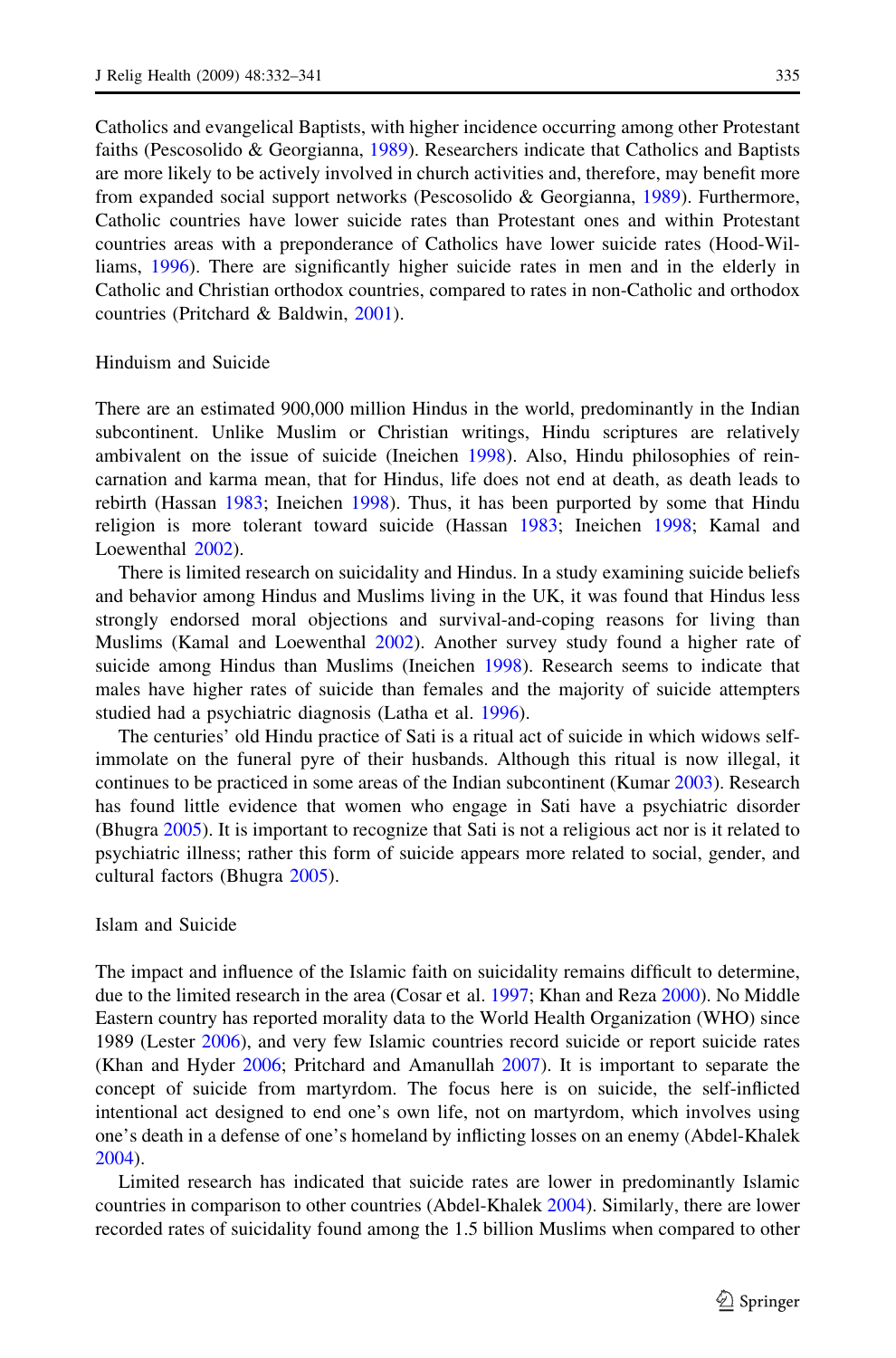Catholics and evangelical Baptists, with higher incidence occurring among other Protestant faiths (Pescosolido & Georgianna, [1989](#page-8-0)). Researchers indicate that Catholics and Baptists are more likely to be actively involved in church activities and, therefore, may benefit more from expanded social support networks (Pescosolido & Georgianna, [1989](#page-8-0)). Furthermore, Catholic countries have lower suicide rates than Protestant ones and within Protestant countries areas with a preponderance of Catholics have lower suicide rates (Hood-Williams, [1996\)](#page-7-0). There are significantly higher suicide rates in men and in the elderly in Catholic and Christian orthodox countries, compared to rates in non-Catholic and orthodox countries (Pritchard & Baldwin, [2001\)](#page-9-0).

#### Hinduism and Suicide

There are an estimated 900,000 million Hindus in the world, predominantly in the Indian subcontinent. Unlike Muslim or Christian writings, Hindu scriptures are relatively ambivalent on the issue of suicide (Ineichen [1998](#page-7-0)). Also, Hindu philosophies of reincarnation and karma mean, that for Hindus, life does not end at death, as death leads to rebirth (Hassan [1983](#page-7-0); Ineichen [1998](#page-7-0)). Thus, it has been purported by some that Hindu religion is more tolerant toward suicide (Hassan [1983;](#page-7-0) Ineichen [1998](#page-7-0); Kamal and Loewenthal [2002](#page-7-0)).

There is limited research on suicidality and Hindus. In a study examining suicide beliefs and behavior among Hindus and Muslims living in the UK, it was found that Hindus less strongly endorsed moral objections and survival-and-coping reasons for living than Muslims (Kamal and Loewenthal [2002](#page-7-0)). Another survey study found a higher rate of suicide among Hindus than Muslims (Ineichen [1998](#page-7-0)). Research seems to indicate that males have higher rates of suicide than females and the majority of suicide attempters studied had a psychiatric diagnosis (Latha et al. [1996\)](#page-8-0).

The centuries' old Hindu practice of Sati is a ritual act of suicide in which widows selfimmolate on the funeral pyre of their husbands. Although this ritual is now illegal, it continues to be practiced in some areas of the Indian subcontinent (Kumar [2003\)](#page-8-0). Research has found little evidence that women who engage in Sati have a psychiatric disorder (Bhugra [2005](#page-7-0)). It is important to recognize that Sati is not a religious act nor is it related to psychiatric illness; rather this form of suicide appears more related to social, gender, and cultural factors (Bhugra [2005](#page-7-0)).

#### Islam and Suicide

The impact and influence of the Islamic faith on suicidality remains difficult to determine, due to the limited research in the area (Cosar et al. [1997;](#page-7-0) Khan and Reza [2000\)](#page-7-0). No Middle Eastern country has reported morality data to the World Health Organization (WHO) since 1989 (Lester [2006\)](#page-8-0), and very few Islamic countries record suicide or report suicide rates (Khan and Hyder [2006;](#page-7-0) Pritchard and Amanullah [2007](#page-8-0)). It is important to separate the concept of suicide from martyrdom. The focus here is on suicide, the self-inflicted intentional act designed to end one's own life, not on martyrdom, which involves using one's death in a defense of one's homeland by inflicting losses on an enemy (Abdel-Khalek [2004\)](#page-6-0).

Limited research has indicated that suicide rates are lower in predominantly Islamic countries in comparison to other countries (Abdel-Khalek [2004](#page-6-0)). Similarly, there are lower recorded rates of suicidality found among the 1.5 billion Muslims when compared to other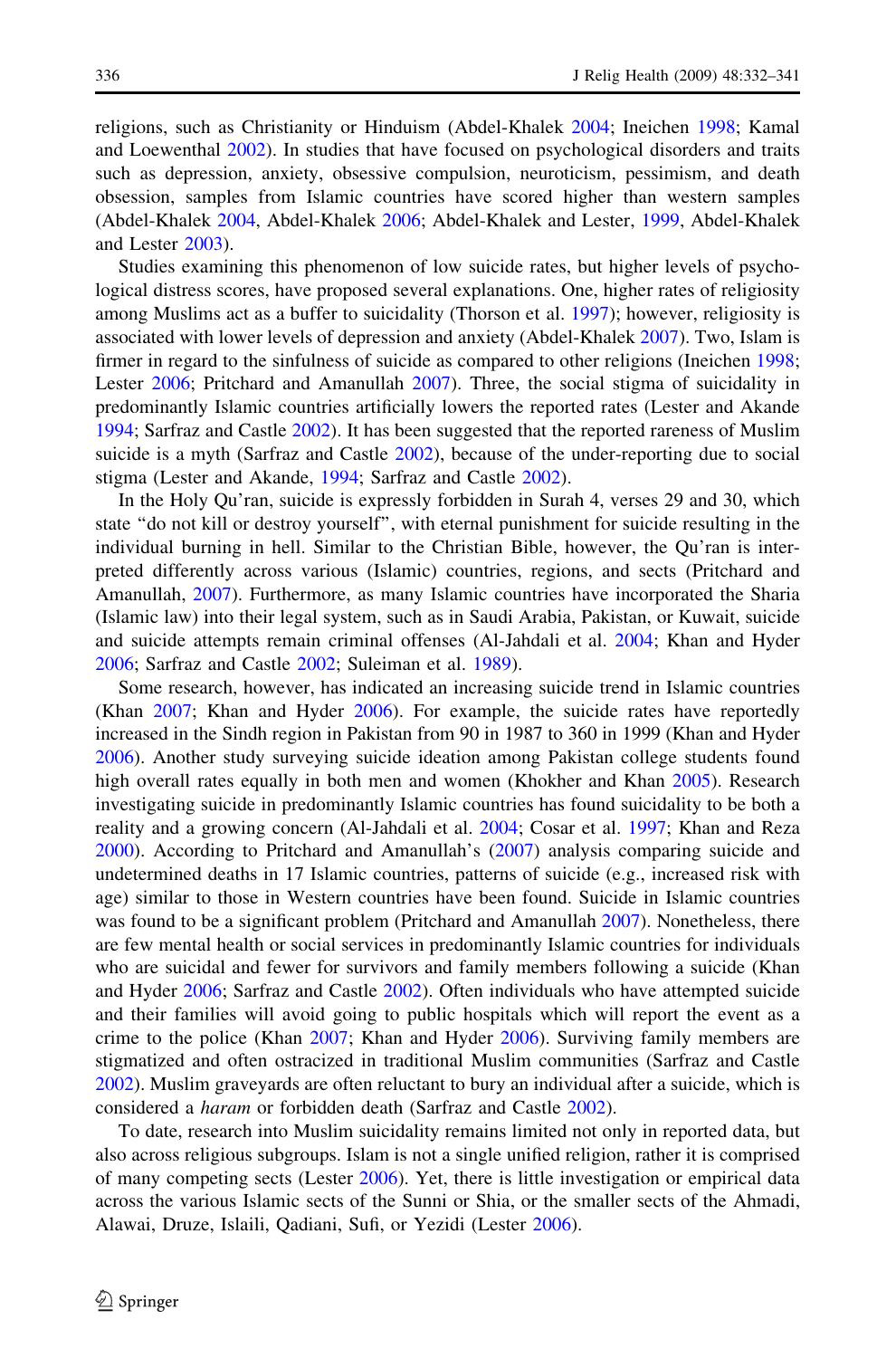religions, such as Christianity or Hinduism (Abdel-Khalek [2004](#page-6-0); Ineichen [1998;](#page-7-0) Kamal and Loewenthal [2002](#page-7-0)). In studies that have focused on psychological disorders and traits such as depression, anxiety, obsessive compulsion, neuroticism, pessimism, and death obsession, samples from Islamic countries have scored higher than western samples (Abdel-Khalek [2004,](#page-6-0) Abdel-Khalek [2006](#page-6-0); Abdel-Khalek and Lester, [1999,](#page-7-0) Abdel-Khalek and Lester [2003](#page-7-0)).

Studies examining this phenomenon of low suicide rates, but higher levels of psychological distress scores, have proposed several explanations. One, higher rates of religiosity among Muslims act as a buffer to suicidality (Thorson et al. [1997\)](#page-9-0); however, religiosity is associated with lower levels of depression and anxiety (Abdel-Khalek [2007](#page-6-0)). Two, Islam is firmer in regard to the sinfulness of suicide as compared to other religions (Ineichen [1998;](#page-7-0) Lester [2006](#page-8-0); Pritchard and Amanullah [2007](#page-8-0)). Three, the social stigma of suicidality in predominantly Islamic countries artificially lowers the reported rates (Lester and Akande [1994;](#page-8-0) Sarfraz and Castle [2002](#page-9-0)). It has been suggested that the reported rareness of Muslim suicide is a myth (Sarfraz and Castle [2002\)](#page-9-0), because of the under-reporting due to social stigma (Lester and Akande, [1994](#page-8-0); Sarfraz and Castle [2002](#page-9-0)).

In the Holy Qu'ran, suicide is expressly forbidden in Surah 4, verses 29 and 30, which state ''do not kill or destroy yourself'', with eternal punishment for suicide resulting in the individual burning in hell. Similar to the Christian Bible, however, the Qu'ran is interpreted differently across various (Islamic) countries, regions, and sects (Pritchard and Amanullah, [2007\)](#page-8-0). Furthermore, as many Islamic countries have incorporated the Sharia (Islamic law) into their legal system, such as in Saudi Arabia, Pakistan, or Kuwait, suicide and suicide attempts remain criminal offenses (Al-Jahdali et al. [2004;](#page-7-0) Khan and Hyder [2006;](#page-7-0) Sarfraz and Castle [2002;](#page-9-0) Suleiman et al. [1989\)](#page-9-0).

Some research, however, has indicated an increasing suicide trend in Islamic countries (Khan [2007](#page-7-0); Khan and Hyder [2006\)](#page-7-0). For example, the suicide rates have reportedly increased in the Sindh region in Pakistan from 90 in 1987 to 360 in 1999 (Khan and Hyder [2006\)](#page-7-0). Another study surveying suicide ideation among Pakistan college students found high overall rates equally in both men and women (Khokher and Khan [2005\)](#page-7-0). Research investigating suicide in predominantly Islamic countries has found suicidality to be both a reality and a growing concern (Al-Jahdali et al. [2004](#page-7-0); Cosar et al. [1997;](#page-7-0) Khan and Reza [2000\)](#page-7-0). According to Pritchard and Amanullah's ([2007\)](#page-8-0) analysis comparing suicide and undetermined deaths in 17 Islamic countries, patterns of suicide (e.g., increased risk with age) similar to those in Western countries have been found. Suicide in Islamic countries was found to be a significant problem (Pritchard and Amanullah [2007](#page-8-0)). Nonetheless, there are few mental health or social services in predominantly Islamic countries for individuals who are suicidal and fewer for survivors and family members following a suicide (Khan and Hyder [2006;](#page-7-0) Sarfraz and Castle [2002](#page-9-0)). Often individuals who have attempted suicide and their families will avoid going to public hospitals which will report the event as a crime to the police (Khan [2007;](#page-7-0) Khan and Hyder [2006](#page-7-0)). Surviving family members are stigmatized and often ostracized in traditional Muslim communities (Sarfraz and Castle [2002\)](#page-9-0). Muslim graveyards are often reluctant to bury an individual after a suicide, which is considered a haram or forbidden death (Sarfraz and Castle [2002](#page-9-0)).

To date, research into Muslim suicidality remains limited not only in reported data, but also across religious subgroups. Islam is not a single unified religion, rather it is comprised of many competing sects (Lester [2006](#page-8-0)). Yet, there is little investigation or empirical data across the various Islamic sects of the Sunni or Shia, or the smaller sects of the Ahmadi, Alawai, Druze, Islaili, Qadiani, Sufi, or Yezidi (Lester [2006](#page-8-0)).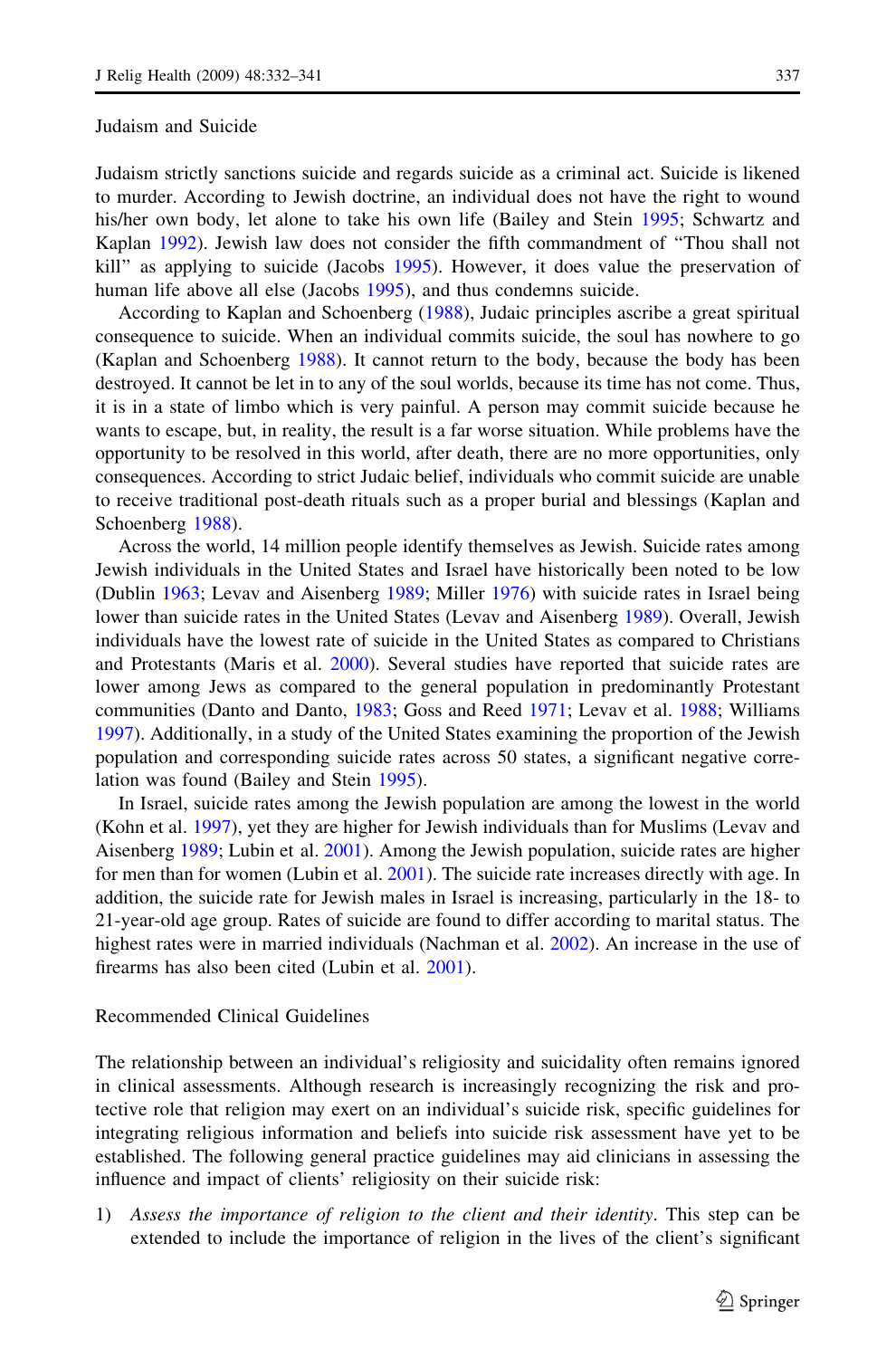#### Judaism and Suicide

Judaism strictly sanctions suicide and regards suicide as a criminal act. Suicide is likened to murder. According to Jewish doctrine, an individual does not have the right to wound his/her own body, let alone to take his own life (Bailey and Stein [1995](#page-7-0); Schwartz and Kaplan [1992\)](#page-9-0). Jewish law does not consider the fifth commandment of ''Thou shall not kill'' as applying to suicide (Jacobs [1995\)](#page-7-0). However, it does value the preservation of human life above all else (Jacobs [1995\)](#page-7-0), and thus condemns suicide.

According to Kaplan and Schoenberg [\(1988](#page-7-0)), Judaic principles ascribe a great spiritual consequence to suicide. When an individual commits suicide, the soul has nowhere to go (Kaplan and Schoenberg [1988\)](#page-7-0). It cannot return to the body, because the body has been destroyed. It cannot be let in to any of the soul worlds, because its time has not come. Thus, it is in a state of limbo which is very painful. A person may commit suicide because he wants to escape, but, in reality, the result is a far worse situation. While problems have the opportunity to be resolved in this world, after death, there are no more opportunities, only consequences. According to strict Judaic belief, individuals who commit suicide are unable to receive traditional post-death rituals such as a proper burial and blessings (Kaplan and Schoenberg [1988\)](#page-7-0).

Across the world, 14 million people identify themselves as Jewish. Suicide rates among Jewish individuals in the United States and Israel have historically been noted to be low (Dublin [1963](#page-7-0); Levav and Aisenberg [1989](#page-8-0); Miller [1976\)](#page-8-0) with suicide rates in Israel being lower than suicide rates in the United States (Levav and Aisenberg [1989](#page-8-0)). Overall, Jewish individuals have the lowest rate of suicide in the United States as compared to Christians and Protestants (Maris et al. [2000\)](#page-8-0). Several studies have reported that suicide rates are lower among Jews as compared to the general population in predominantly Protestant communities (Danto and Danto, [1983](#page-7-0); Goss and Reed [1971](#page-7-0); Levav et al. [1988](#page-8-0); Williams [1997\)](#page-9-0). Additionally, in a study of the United States examining the proportion of the Jewish population and corresponding suicide rates across 50 states, a significant negative correlation was found (Bailey and Stein [1995](#page-7-0)).

In Israel, suicide rates among the Jewish population are among the lowest in the world (Kohn et al. [1997](#page-8-0)), yet they are higher for Jewish individuals than for Muslims (Levav and Aisenberg [1989](#page-8-0); Lubin et al. [2001](#page-8-0)). Among the Jewish population, suicide rates are higher for men than for women (Lubin et al. [2001](#page-8-0)). The suicide rate increases directly with age. In addition, the suicide rate for Jewish males in Israel is increasing, particularly in the 18- to 21-year-old age group. Rates of suicide are found to differ according to marital status. The highest rates were in married individuals (Nachman et al. [2002\)](#page-8-0). An increase in the use of firearms has also been cited (Lubin et al. [2001](#page-8-0)).

#### Recommended Clinical Guidelines

The relationship between an individual's religiosity and suicidality often remains ignored in clinical assessments. Although research is increasingly recognizing the risk and protective role that religion may exert on an individual's suicide risk, specific guidelines for integrating religious information and beliefs into suicide risk assessment have yet to be established. The following general practice guidelines may aid clinicians in assessing the influence and impact of clients' religiosity on their suicide risk:

1) Assess the importance of religion to the client and their identity. This step can be extended to include the importance of religion in the lives of the client's significant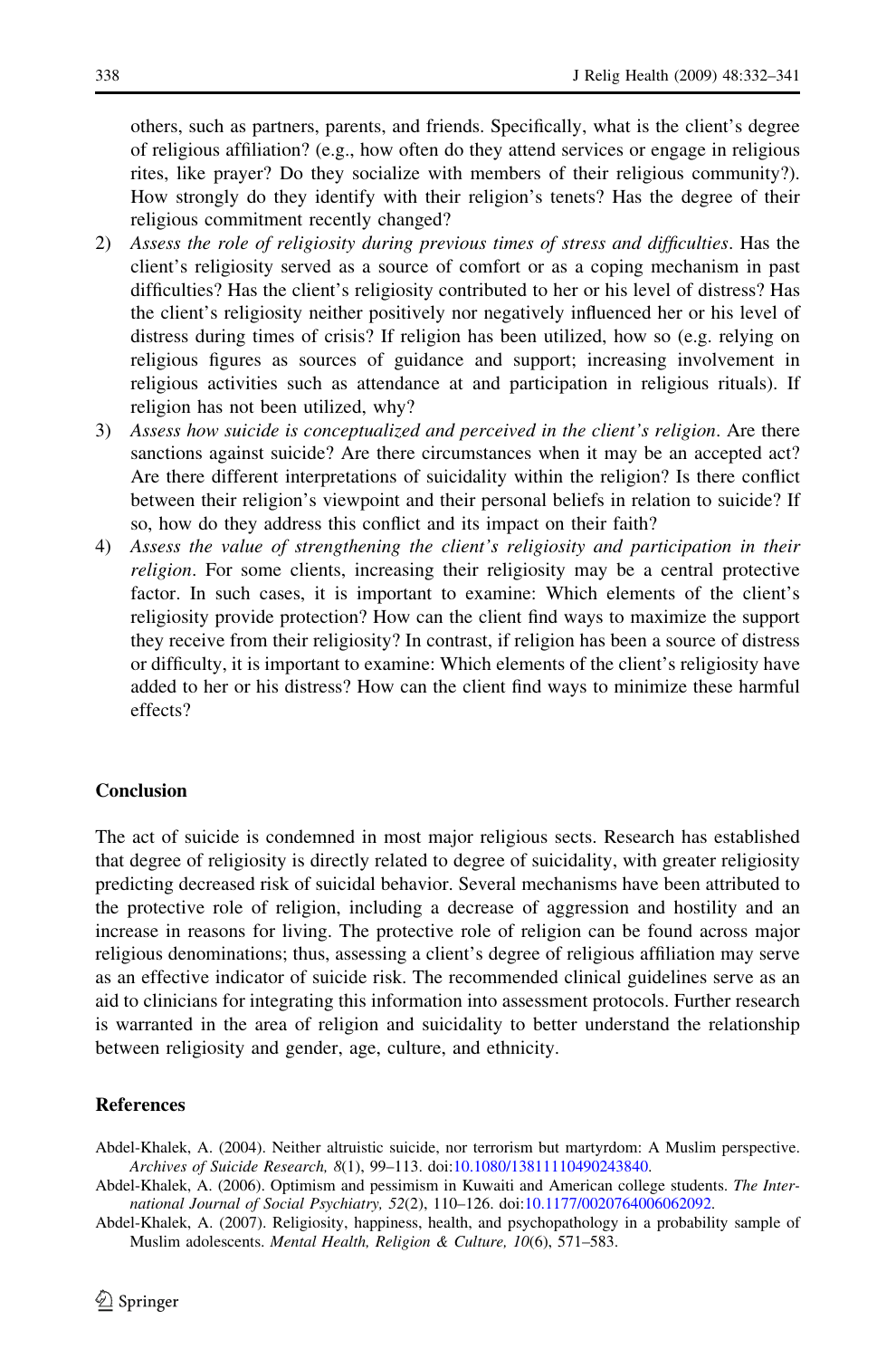<span id="page-6-0"></span>others, such as partners, parents, and friends. Specifically, what is the client's degree of religious affiliation? (e.g., how often do they attend services or engage in religious rites, like prayer? Do they socialize with members of their religious community?). How strongly do they identify with their religion's tenets? Has the degree of their religious commitment recently changed?

- 2) Assess the role of religiosity during previous times of stress and difficulties. Has the client's religiosity served as a source of comfort or as a coping mechanism in past difficulties? Has the client's religiosity contributed to her or his level of distress? Has the client's religiosity neither positively nor negatively influenced her or his level of distress during times of crisis? If religion has been utilized, how so (e.g. relying on religious figures as sources of guidance and support; increasing involvement in religious activities such as attendance at and participation in religious rituals). If religion has not been utilized, why?
- 3) Assess how suicide is conceptualized and perceived in the client's religion. Are there sanctions against suicide? Are there circumstances when it may be an accepted act? Are there different interpretations of suicidality within the religion? Is there conflict between their religion's viewpoint and their personal beliefs in relation to suicide? If so, how do they address this conflict and its impact on their faith?
- 4) Assess the value of strengthening the client's religiosity and participation in their religion. For some clients, increasing their religiosity may be a central protective factor. In such cases, it is important to examine: Which elements of the client's religiosity provide protection? How can the client find ways to maximize the support they receive from their religiosity? In contrast, if religion has been a source of distress or difficulty, it is important to examine: Which elements of the client's religiosity have added to her or his distress? How can the client find ways to minimize these harmful effects?

## **Conclusion**

The act of suicide is condemned in most major religious sects. Research has established that degree of religiosity is directly related to degree of suicidality, with greater religiosity predicting decreased risk of suicidal behavior. Several mechanisms have been attributed to the protective role of religion, including a decrease of aggression and hostility and an increase in reasons for living. The protective role of religion can be found across major religious denominations; thus, assessing a client's degree of religious affiliation may serve as an effective indicator of suicide risk. The recommended clinical guidelines serve as an aid to clinicians for integrating this information into assessment protocols. Further research is warranted in the area of religion and suicidality to better understand the relationship between religiosity and gender, age, culture, and ethnicity.

## **References**

- Abdel-Khalek, A. (2004). Neither altruistic suicide, nor terrorism but martyrdom: A Muslim perspective. Archives of Suicide Research, 8(1), 99–113. doi[:10.1080/13811110490243840](http://dx.doi.org/10.1080/13811110490243840).
- Abdel-Khalek, A. (2006). Optimism and pessimism in Kuwaiti and American college students. The International Journal of Social Psychiatry, 52(2), 110–126. doi[:10.1177/0020764006062092](http://dx.doi.org/10.1177/0020764006062092).
- Abdel-Khalek, A. (2007). Religiosity, happiness, health, and psychopathology in a probability sample of Muslim adolescents. Mental Health, Religion & Culture, 10(6), 571–583.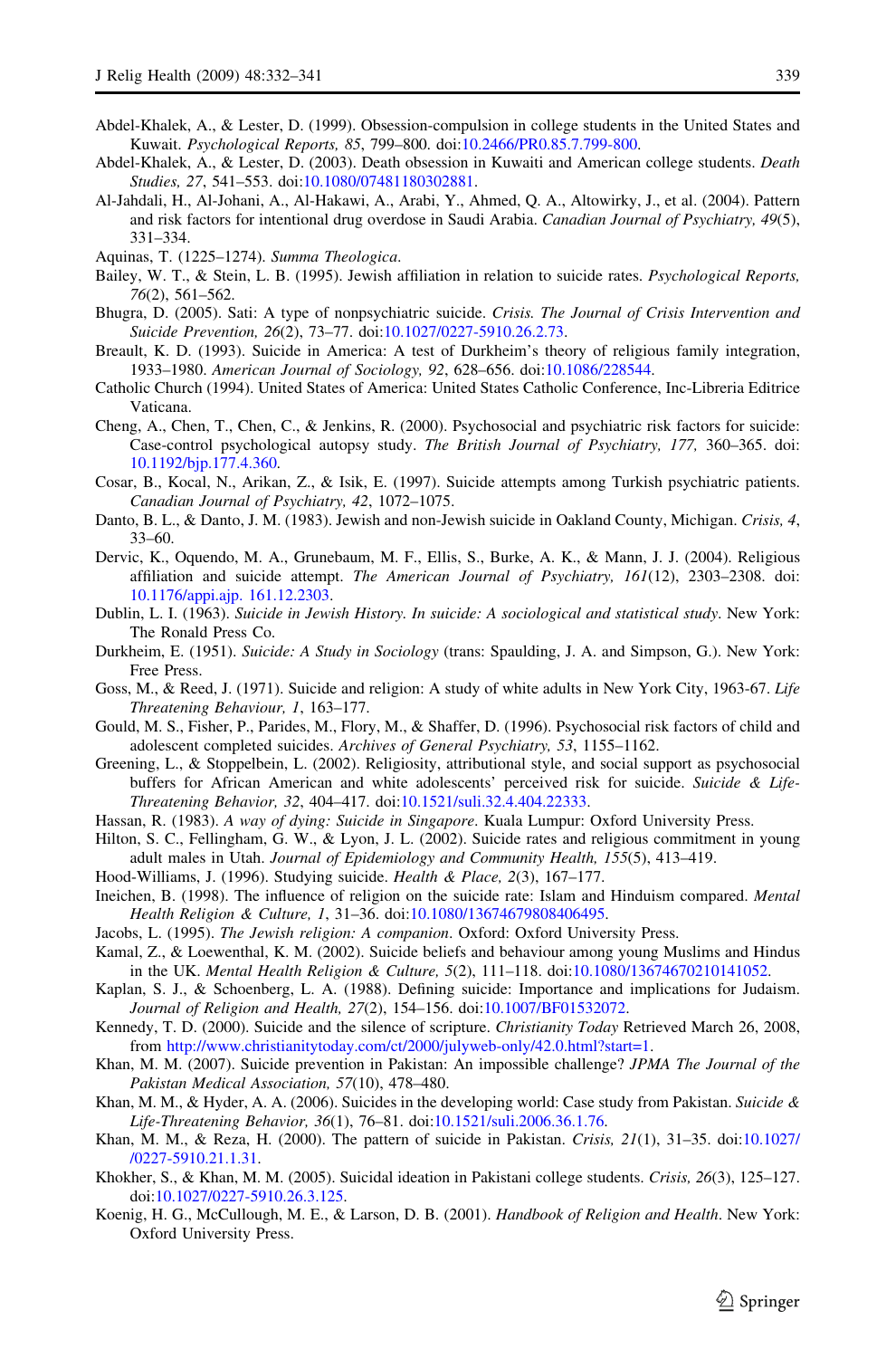- <span id="page-7-0"></span>Abdel-Khalek, A., & Lester, D. (1999). Obsession-compulsion in college students in the United States and Kuwait. Psychological Reports, 85, 799–800. doi:[10.2466/PR0.85.7.799-800.](http://dx.doi.org/10.2466/PR0.85.7.799-800)
- Abdel-Khalek, A., & Lester, D. (2003). Death obsession in Kuwaiti and American college students. Death Studies, 27, 541–553. doi:[10.1080/07481180302881.](http://dx.doi.org/10.1080/07481180302881)
- Al-Jahdali, H., Al-Johani, A., Al-Hakawi, A., Arabi, Y., Ahmed, Q. A., Altowirky, J., et al. (2004). Pattern and risk factors for intentional drug overdose in Saudi Arabia. Canadian Journal of Psychiatry, 49(5), 331–334.
- Aquinas, T. (1225–1274). Summa Theologica.
- Bailey, W. T., & Stein, L. B. (1995). Jewish affiliation in relation to suicide rates. Psychological Reports, 76(2), 561–562.
- Bhugra, D. (2005). Sati: A type of nonpsychiatric suicide. Crisis. The Journal of Crisis Intervention and Suicide Prevention, 26(2), 73–77. doi[:10.1027/0227-5910.26.2.73.](http://dx.doi.org/10.1027/0227-5910.26.2.73)
- Breault, K. D. (1993). Suicide in America: A test of Durkheim's theory of religious family integration, 1933–1980. American Journal of Sociology, 92, 628–656. doi:[10.1086/228544.](http://dx.doi.org/10.1086/228544)
- Catholic Church (1994). United States of America: United States Catholic Conference, Inc-Libreria Editrice Vaticana.
- Cheng, A., Chen, T., Chen, C., & Jenkins, R. (2000). Psychosocial and psychiatric risk factors for suicide: Case-control psychological autopsy study. The British Journal of Psychiatry, 177, 360–365. doi: [10.1192/bjp.177.4.360.](http://dx.doi.org/10.1192/bjp.177.4.360)
- Cosar, B., Kocal, N., Arikan, Z., & Isik, E. (1997). Suicide attempts among Turkish psychiatric patients. Canadian Journal of Psychiatry, 42, 1072–1075.
- Danto, B. L., & Danto, J. M. (1983). Jewish and non-Jewish suicide in Oakland County, Michigan. Crisis, 4, 33–60.
- Dervic, K., Oquendo, M. A., Grunebaum, M. F., Ellis, S., Burke, A. K., & Mann, J. J. (2004). Religious affiliation and suicide attempt. The American Journal of Psychiatry, 161(12), 2303–2308. doi: [10.1176/appi.ajp. 161.12.2303.](http://dx.doi.org/10.1176/appi.ajp. 161.12.2303)
- Dublin, L. I. (1963). Suicide in Jewish History. In suicide: A sociological and statistical study. New York: The Ronald Press Co.
- Durkheim, E. (1951). Suicide: A Study in Sociology (trans: Spaulding, J. A. and Simpson, G.). New York: Free Press.
- Goss, M., & Reed, J. (1971). Suicide and religion: A study of white adults in New York City, 1963-67. Life Threatening Behaviour, 1, 163–177.
- Gould, M. S., Fisher, P., Parides, M., Flory, M., & Shaffer, D. (1996). Psychosocial risk factors of child and adolescent completed suicides. Archives of General Psychiatry, 53, 1155–1162.
- Greening, L., & Stoppelbein, L. (2002). Religiosity, attributional style, and social support as psychosocial buffers for African American and white adolescents' perceived risk for suicide. Suicide & Life-Threatening Behavior, 32, 404–417. doi:[10.1521/suli.32.4.404.22333.](http://dx.doi.org/10.1521/suli.32.4.404.22333)
- Hassan, R. (1983). A way of dying: Suicide in Singapore. Kuala Lumpur: Oxford University Press.
- Hilton, S. C., Fellingham, G. W., & Lyon, J. L. (2002). Suicide rates and religious commitment in young adult males in Utah. Journal of Epidemiology and Community Health, 155(5), 413–419.
- Hood-Williams, J. (1996). Studying suicide. Health & Place, 2(3), 167–177.
- Ineichen, B. (1998). The influence of religion on the suicide rate: Islam and Hinduism compared. Mental Health Religion & Culture, 1, 31–36. doi[:10.1080/13674679808406495.](http://dx.doi.org/10.1080/13674679808406495)
- Jacobs, L. (1995). The Jewish religion: A companion. Oxford: Oxford University Press.
- Kamal, Z., & Loewenthal, K. M. (2002). Suicide beliefs and behaviour among young Muslims and Hindus in the UK. Mental Health Religion & Culture, 5(2), 111–118. doi[:10.1080/13674670210141052.](http://dx.doi.org/10.1080/13674670210141052)
- Kaplan, S. J., & Schoenberg, L. A. (1988). Defining suicide: Importance and implications for Judaism. Journal of Religion and Health, 27(2), 154–156. doi[:10.1007/BF01532072.](http://dx.doi.org/10.1007/BF01532072)
- Kennedy, T. D. (2000). Suicide and the silence of scripture. Christianity Today Retrieved March 26, 2008, from [http://www.christianitytoday.com/ct/2000/julyweb-only/42.0.html?start=1.](http://www.christianitytoday.com/ct/2000/julyweb-only/42.0.html?start=1)
- Khan, M. M. (2007). Suicide prevention in Pakistan: An impossible challenge? JPMA The Journal of the Pakistan Medical Association, 57(10), 478–480.
- Khan, M. M., & Hyder, A. A. (2006). Suicides in the developing world: Case study from Pakistan. Suicide & Life-Threatening Behavior, 36(1), 76–81. doi[:10.1521/suli.2006.36.1.76](http://dx.doi.org/10.1521/suli.2006.36.1.76).
- Khan, M. M., & Reza, H. (2000). The pattern of suicide in Pakistan. Crisis, 21(1), 31–35. doi:[10.1027/](http://dx.doi.org/10.1027//0227-5910.21.1.31) [/0227-5910.21.1.31](http://dx.doi.org/10.1027//0227-5910.21.1.31).
- Khokher, S., & Khan, M. M. (2005). Suicidal ideation in Pakistani college students. Crisis, 26(3), 125-127. doi[:10.1027/0227-5910.26.3.125](http://dx.doi.org/10.1027/0227-5910.26.3.125).
- Koenig, H. G., McCullough, M. E., & Larson, D. B. (2001). Handbook of Religion and Health. New York: Oxford University Press.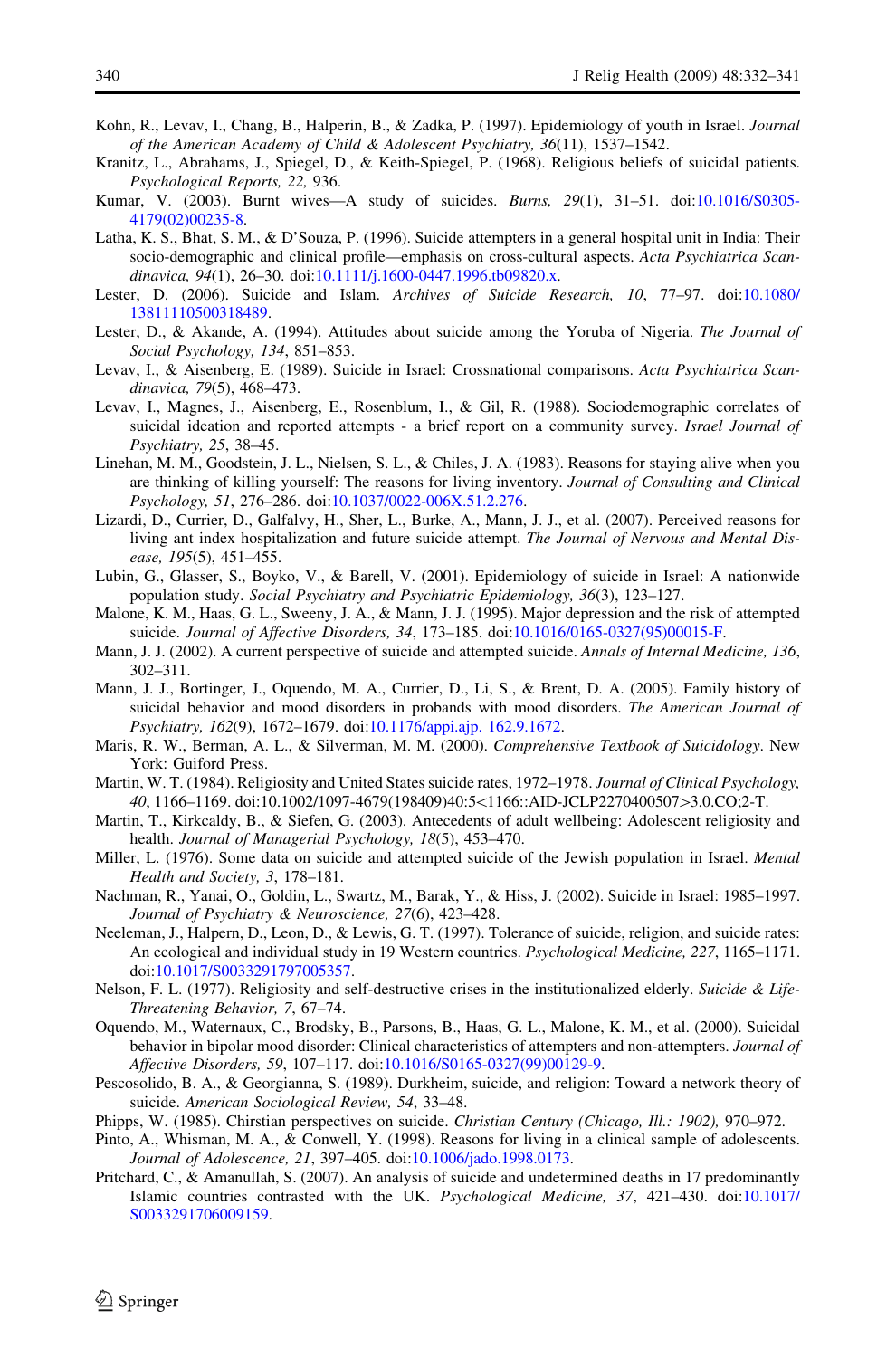- <span id="page-8-0"></span>Kohn, R., Levav, I., Chang, B., Halperin, B., & Zadka, P. (1997). Epidemiology of youth in Israel. Journal of the American Academy of Child & Adolescent Psychiatry, 36(11), 1537–1542.
- Kranitz, L., Abrahams, J., Spiegel, D., & Keith-Spiegel, P. (1968). Religious beliefs of suicidal patients. Psychological Reports, 22, 936.
- Kumar, V. (2003). Burnt wives—A study of suicides. Burns, 29(1), 31–51. doi:[10.1016/S0305-](http://dx.doi.org/10.1016/S0305-4179(02)00235-8) [4179\(02\)00235-8](http://dx.doi.org/10.1016/S0305-4179(02)00235-8).
- Latha, K. S., Bhat, S. M., & D'Souza, P. (1996). Suicide attempters in a general hospital unit in India: Their socio-demographic and clinical profile—emphasis on cross-cultural aspects. Acta Psychiatrica Scandinavica, 94(1), 26–30. doi:[10.1111/j.1600-0447.1996.tb09820.x](http://dx.doi.org/10.1111/j.1600-0447.1996.tb09820.x).
- Lester, D. (2006). Suicide and Islam. Archives of Suicide Research, 10, 77-97. doi:[10.1080/](http://dx.doi.org/10.1080/13811110500318489) [13811110500318489](http://dx.doi.org/10.1080/13811110500318489).
- Lester, D., & Akande, A. (1994). Attitudes about suicide among the Yoruba of Nigeria. The Journal of Social Psychology, 134, 851–853.
- Levav, I., & Aisenberg, E. (1989). Suicide in Israel: Crossnational comparisons. Acta Psychiatrica Scandinavica, 79(5), 468–473.
- Levav, I., Magnes, J., Aisenberg, E., Rosenblum, I., & Gil, R. (1988). Sociodemographic correlates of suicidal ideation and reported attempts - a brief report on a community survey. Israel Journal of Psychiatry, 25, 38–45.
- Linehan, M. M., Goodstein, J. L., Nielsen, S. L., & Chiles, J. A. (1983). Reasons for staying alive when you are thinking of killing yourself: The reasons for living inventory. Journal of Consulting and Clinical Psychology, 51, 276–286. doi:[10.1037/0022-006X.51.2.276.](http://dx.doi.org/10.1037/0022-006X.51.2.276)
- Lizardi, D., Currier, D., Galfalvy, H., Sher, L., Burke, A., Mann, J. J., et al. (2007). Perceived reasons for living ant index hospitalization and future suicide attempt. The Journal of Nervous and Mental Disease, 195(5), 451–455.
- Lubin, G., Glasser, S., Boyko, V., & Barell, V. (2001). Epidemiology of suicide in Israel: A nationwide population study. Social Psychiatry and Psychiatric Epidemiology, 36(3), 123–127.
- Malone, K. M., Haas, G. L., Sweeny, J. A., & Mann, J. J. (1995). Major depression and the risk of attempted suicide. Journal of Affective Disorders, 34, 173–185. doi:[10.1016/0165-0327\(95\)00015-F.](http://dx.doi.org/10.1016/0165-0327(95)00015-F)
- Mann, J. J. (2002). A current perspective of suicide and attempted suicide. Annals of Internal Medicine, 136, 302–311.
- Mann, J. J., Bortinger, J., Oquendo, M. A., Currier, D., Li, S., & Brent, D. A. (2005). Family history of suicidal behavior and mood disorders in probands with mood disorders. The American Journal of Psychiatry, 162(9), 1672–1679. doi[:10.1176/appi.ajp. 162.9.1672](http://dx.doi.org/10.1176/appi.ajp. 162.9.1672).
- Maris, R. W., Berman, A. L., & Silverman, M. M. (2000). Comprehensive Textbook of Suicidology. New York: Guiford Press.
- Martin, W. T. (1984). Religiosity and United States suicide rates, 1972–1978. Journal of Clinical Psychology, 40, 1166–1169. doi:10.1002/1097-4679(198409)40:5<1166::AID-JCLP2270400507>3.0.CO;2-T.
- Martin, T., Kirkcaldy, B., & Siefen, G. (2003). Antecedents of adult wellbeing: Adolescent religiosity and health. Journal of Managerial Psychology, 18(5), 453–470.
- Miller, L. (1976). Some data on suicide and attempted suicide of the Jewish population in Israel. Mental Health and Society, 3, 178–181.
- Nachman, R., Yanai, O., Goldin, L., Swartz, M., Barak, Y., & Hiss, J. (2002). Suicide in Israel: 1985–1997. Journal of Psychiatry & Neuroscience, 27(6), 423–428.
- Neeleman, J., Halpern, D., Leon, D., & Lewis, G. T. (1997). Tolerance of suicide, religion, and suicide rates: An ecological and individual study in 19 Western countries. Psychological Medicine, 227, 1165–1171. doi[:10.1017/S0033291797005357](http://dx.doi.org/10.1017/S0033291797005357).
- Nelson, F. L. (1977). Religiosity and self-destructive crises in the institutionalized elderly. Suicide & Life-Threatening Behavior, 7, 67–74.
- Oquendo, M., Waternaux, C., Brodsky, B., Parsons, B., Haas, G. L., Malone, K. M., et al. (2000). Suicidal behavior in bipolar mood disorder: Clinical characteristics of attempters and non-attempters. Journal of Affective Disorders, 59, 107–117. doi[:10.1016/S0165-0327\(99\)00129-9.](http://dx.doi.org/10.1016/S0165-0327(99)00129-9)
- Pescosolido, B. A., & Georgianna, S. (1989). Durkheim, suicide, and religion: Toward a network theory of suicide. American Sociological Review, 54, 33–48.
- Phipps, W. (1985). Chirstian perspectives on suicide. Christian Century (Chicago, Ill.: 1902), 970–972.
- Pinto, A., Whisman, M. A., & Conwell, Y. (1998). Reasons for living in a clinical sample of adolescents. Journal of Adolescence, 21, 397–405. doi[:10.1006/jado.1998.0173.](http://dx.doi.org/10.1006/jado.1998.0173)
- Pritchard, C., & Amanullah, S. (2007). An analysis of suicide and undetermined deaths in 17 predominantly Islamic countries contrasted with the UK. Psychological Medicine, 37, 421–430. doi:[10.1017/](http://dx.doi.org/10.1017/S0033291706009159) [S0033291706009159.](http://dx.doi.org/10.1017/S0033291706009159)